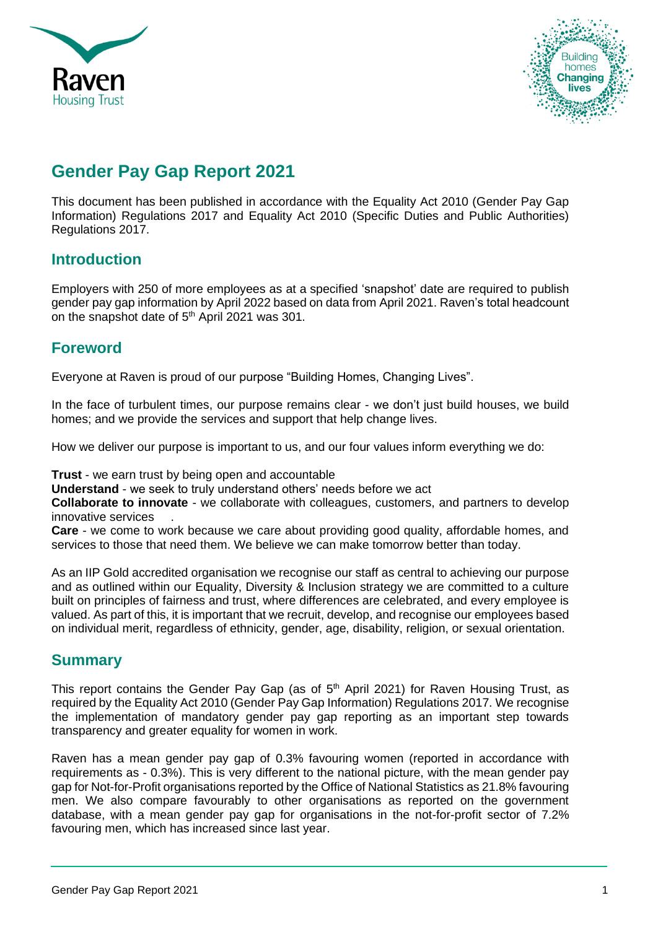



# **Gender Pay Gap Report 2021**

This document has been published in accordance with the Equality Act 2010 (Gender Pay Gap Information) Regulations 2017 and Equality Act 2010 (Specific Duties and Public Authorities) Regulations 2017.

## **Introduction**

Employers with 250 of more employees as at a specified 'snapshot' date are required to publish gender pay gap information by April 2022 based on data from April 2021. Raven's total headcount on the snapshot date of 5<sup>th</sup> April 2021 was 301.

## **Foreword**

Everyone at Raven is proud of our purpose "Building Homes, Changing Lives".

In the face of turbulent times, our purpose remains clear - we don't just build houses, we build homes; and we provide the services and support that help change lives.

How we deliver our purpose is important to us, and our four values inform everything we do:

**Trust** - we earn trust by being open and accountable

**Understand** - we seek to truly understand others' needs before we act

**Collaborate to innovate** - we collaborate with colleagues, customers, and partners to develop innovative services .

**Care** - we come to work because we care about providing good quality, affordable homes, and services to those that need them. We believe we can make tomorrow better than today.

As an IIP Gold accredited organisation we recognise our staff as central to achieving our purpose and as outlined within our Equality, Diversity & Inclusion strategy we are committed to a culture built on principles of fairness and trust, where differences are celebrated, and every employee is valued. As part of this, it is important that we recruit, develop, and recognise our employees based on individual merit, regardless of ethnicity, gender, age, disability, religion, or sexual orientation.

## **Summary**

This report contains the Gender Pay Gap (as of 5<sup>th</sup> April 2021) for Raven Housing Trust, as required by the Equality Act 2010 (Gender Pay Gap Information) Regulations 2017. We recognise the implementation of mandatory gender pay gap reporting as an important step towards transparency and greater equality for women in work.

Raven has a mean gender pay gap of 0.3% favouring women (reported in accordance with requirements as - 0.3%). This is very different to the national picture, with the mean gender pay gap for Not-for-Profit organisations reported by the Office of National Statistics as 21.8% favouring men. We also compare favourably to other organisations as reported on the government database, with a mean gender pay gap for organisations in the not-for-profit sector of 7.2% favouring men, which has increased since last year.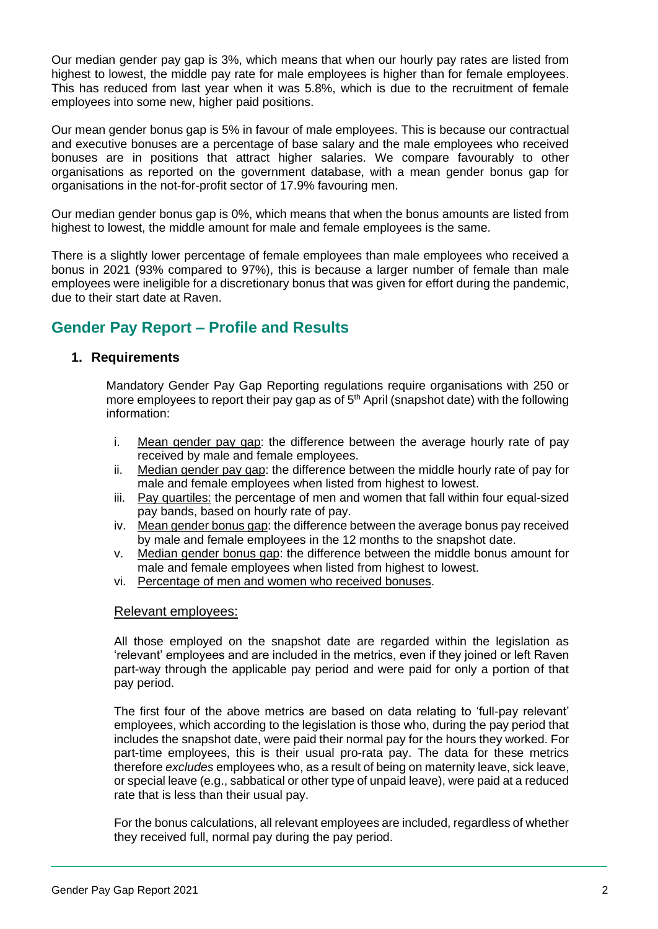Our median gender pay gap is 3%, which means that when our hourly pay rates are listed from highest to lowest, the middle pay rate for male employees is higher than for female employees. This has reduced from last year when it was 5.8%, which is due to the recruitment of female employees into some new, higher paid positions.

Our mean gender bonus gap is 5% in favour of male employees. This is because our contractual and executive bonuses are a percentage of base salary and the male employees who received bonuses are in positions that attract higher salaries. We compare favourably to other organisations as reported on the government database, with a mean gender bonus gap for organisations in the not-for-profit sector of 17.9% favouring men.

Our median gender bonus gap is 0%, which means that when the bonus amounts are listed from highest to lowest, the middle amount for male and female employees is the same.

There is a slightly lower percentage of female employees than male employees who received a bonus in 2021 (93% compared to 97%), this is because a larger number of female than male employees were ineligible for a discretionary bonus that was given for effort during the pandemic, due to their start date at Raven.

## **Gender Pay Report – Profile and Results**

### **1. Requirements**

Mandatory Gender Pay Gap Reporting regulations require organisations with 250 or more employees to report their pay gap as of  $5<sup>th</sup>$  April (snapshot date) with the following information:

- i. Mean gender pay gap: the difference between the average hourly rate of pay received by male and female employees.
- ii. Median gender pay gap: the difference between the middle hourly rate of pay for male and female employees when listed from highest to lowest.
- iii. Pay quartiles: the percentage of men and women that fall within four equal-sized pay bands, based on hourly rate of pay.
- iv. Mean gender bonus gap: the difference between the average bonus pay received by male and female employees in the 12 months to the snapshot date.
- v. Median gender bonus gap: the difference between the middle bonus amount for male and female employees when listed from highest to lowest.
- vi. Percentage of men and women who received bonuses.

#### Relevant employees:

All those employed on the snapshot date are regarded within the legislation as 'relevant' employees and are included in the metrics, even if they joined or left Raven part-way through the applicable pay period and were paid for only a portion of that pay period.

The first four of the above metrics are based on data relating to 'full-pay relevant' employees, which according to the legislation is those who, during the pay period that includes the snapshot date, were paid their normal pay for the hours they worked. For part-time employees, this is their usual pro-rata pay. The data for these metrics therefore *excludes* employees who, as a result of being on maternity leave, sick leave, or special leave (e.g., sabbatical or other type of unpaid leave), were paid at a reduced rate that is less than their usual pay.

For the bonus calculations, all relevant employees are included, regardless of whether they received full, normal pay during the pay period.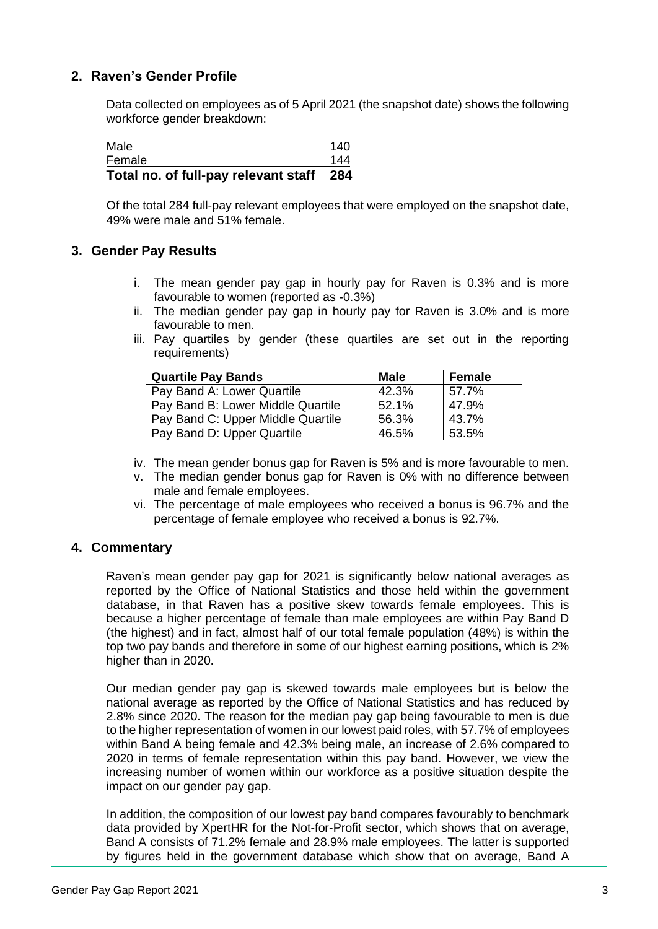### **2. Raven's Gender Profile**

Data collected on employees as of 5 April 2021 (the snapshot date) shows the following workforce gender breakdown:

| Total no. of full-pay relevant staff 284 |     |
|------------------------------------------|-----|
| Female                                   | 144 |
| Male                                     | 140 |

Of the total 284 full-pay relevant employees that were employed on the snapshot date, 49% were male and 51% female.

### **3. Gender Pay Results**

- i. The mean gender pay gap in hourly pay for Raven is 0.3% and is more favourable to women (reported as -0.3%)
- ii. The median gender pay gap in hourly pay for Raven is 3.0% and is more favourable to men.
- iii. Pay quartiles by gender (these quartiles are set out in the reporting requirements)

| <b>Quartile Pay Bands</b>         | <b>Male</b> | <b>Female</b> |
|-----------------------------------|-------------|---------------|
| Pay Band A: Lower Quartile        | 42.3%       | 57.7%         |
| Pay Band B: Lower Middle Quartile | 52.1%       | 47.9%         |
| Pay Band C: Upper Middle Quartile | 56.3%       | 43.7%         |
| Pay Band D: Upper Quartile        | 46.5%       | 53.5%         |

- iv. The mean gender bonus gap for Raven is 5% and is more favourable to men.
- v. The median gender bonus gap for Raven is 0% with no difference between male and female employees.
- vi. The percentage of male employees who received a bonus is 96.7% and the percentage of female employee who received a bonus is 92.7%.

#### **4. Commentary**

Raven's mean gender pay gap for 2021 is significantly below national averages as reported by the Office of National Statistics and those held within the government database, in that Raven has a positive skew towards female employees. This is because a higher percentage of female than male employees are within Pay Band D (the highest) and in fact, almost half of our total female population (48%) is within the top two pay bands and therefore in some of our highest earning positions, which is 2% higher than in 2020.

Our median gender pay gap is skewed towards male employees but is below the national average as reported by the Office of National Statistics and has reduced by 2.8% since 2020. The reason for the median pay gap being favourable to men is due to the higher representation of women in our lowest paid roles, with 57.7% of employees within Band A being female and 42.3% being male, an increase of 2.6% compared to 2020 in terms of female representation within this pay band. However, we view the increasing number of women within our workforce as a positive situation despite the impact on our gender pay gap.

In addition, the composition of our lowest pay band compares favourably to benchmark data provided by XpertHR for the Not-for-Profit sector, which shows that on average, Band A consists of 71.2% female and 28.9% male employees. The latter is supported by figures held in the government database which show that on average, Band A